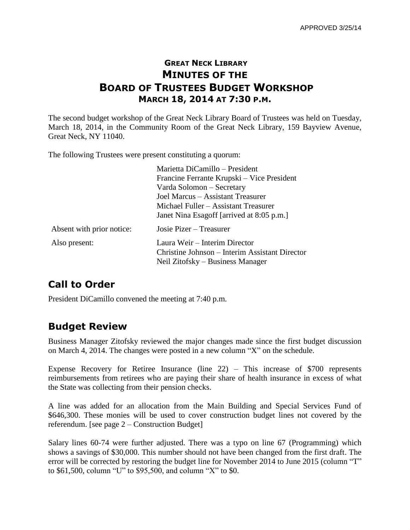### **GREAT NECK LIBRARY MINUTES OF THE BOARD OF TRUSTEES BUDGET WORKSHOP MARCH 18, 2014 AT 7:30 P.M.**

The second budget workshop of the Great Neck Library Board of Trustees was held on Tuesday, March 18, 2014, in the Community Room of the Great Neck Library, 159 Bayview Avenue, Great Neck, NY 11040.

The following Trustees were present constituting a quorum:

|                           | Marietta DiCamillo – President<br>Francine Ferrante Krupski – Vice President<br>Varda Solomon – Secretary<br>Joel Marcus - Assistant Treasurer<br>Michael Fuller – Assistant Treasurer<br>Janet Nina Esagoff [arrived at 8:05 p.m.] |
|---------------------------|-------------------------------------------------------------------------------------------------------------------------------------------------------------------------------------------------------------------------------------|
| Absent with prior notice: | Josie Pizer – Treasurer                                                                                                                                                                                                             |
| Also present:             | Laura Weir - Interim Director<br>Christine Johnson – Interim Assistant Director<br>Neil Zitofsky – Business Manager                                                                                                                 |

# **Call to Order**

President DiCamillo convened the meeting at 7:40 p.m.

### **Budget Review**

Business Manager Zitofsky reviewed the major changes made since the first budget discussion on March 4, 2014. The changes were posted in a new column "X" on the schedule.

Expense Recovery for Retiree Insurance (line 22) – This increase of \$700 represents reimbursements from retirees who are paying their share of health insurance in excess of what the State was collecting from their pension checks.

A line was added for an allocation from the Main Building and Special Services Fund of \$646,300. These monies will be used to cover construction budget lines not covered by the referendum. [see page 2 – Construction Budget]

Salary lines 60-74 were further adjusted. There was a typo on line 67 (Programming) which shows a savings of \$30,000. This number should not have been changed from the first draft. The error will be corrected by restoring the budget line for November 2014 to June 2015 (column "T" to \$61,500, column "U" to \$95,500, and column "X" to \$0.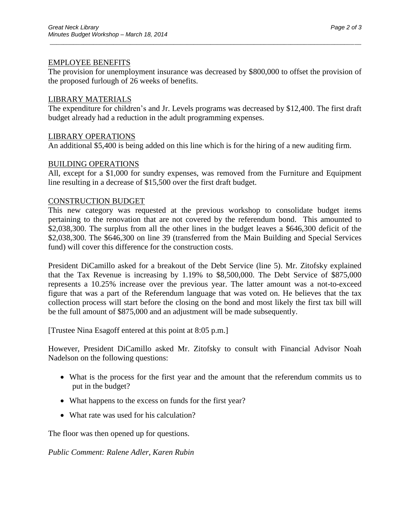#### EMPLOYEE BENEFITS

The provision for unemployment insurance was decreased by \$800,000 to offset the provision of the proposed furlough of 26 weeks of benefits.

\_\_\_\_\_\_\_\_\_\_\_\_\_\_\_\_\_\_\_\_\_\_\_\_\_\_\_\_\_\_\_\_\_\_\_\_\_\_\_\_\_\_\_\_\_\_\_\_\_\_\_\_\_\_\_\_\_\_\_\_\_\_\_\_\_\_\_\_\_\_\_\_\_\_\_\_\_\_\_\_\_\_\_\_\_\_\_\_\_\_\_\_\_

#### LIBRARY MATERIALS

The expenditure for children's and Jr. Levels programs was decreased by \$12,400. The first draft budget already had a reduction in the adult programming expenses.

#### LIBRARY OPERATIONS

An additional \$5,400 is being added on this line which is for the hiring of a new auditing firm.

#### BUILDING OPERATIONS

All, except for a \$1,000 for sundry expenses, was removed from the Furniture and Equipment line resulting in a decrease of \$15,500 over the first draft budget.

#### CONSTRUCTION BUDGET

This new category was requested at the previous workshop to consolidate budget items pertaining to the renovation that are not covered by the referendum bond. This amounted to \$2,038,300. The surplus from all the other lines in the budget leaves a \$646,300 deficit of the \$2,038,300. The \$646,300 on line 39 (transferred from the Main Building and Special Services fund) will cover this difference for the construction costs.

President DiCamillo asked for a breakout of the Debt Service (line 5). Mr. Zitofsky explained that the Tax Revenue is increasing by 1.19% to \$8,500,000. The Debt Service of \$875,000 represents a 10.25% increase over the previous year. The latter amount was a not-to-exceed figure that was a part of the Referendum language that was voted on. He believes that the tax collection process will start before the closing on the bond and most likely the first tax bill will be the full amount of \$875,000 and an adjustment will be made subsequently.

[Trustee Nina Esagoff entered at this point at 8:05 p.m.]

However, President DiCamillo asked Mr. Zitofsky to consult with Financial Advisor Noah Nadelson on the following questions:

- What is the process for the first year and the amount that the referendum commits us to put in the budget?
- What happens to the excess on funds for the first year?
- What rate was used for his calculation?

The floor was then opened up for questions.

*Public Comment: Ralene Adler, Karen Rubin*